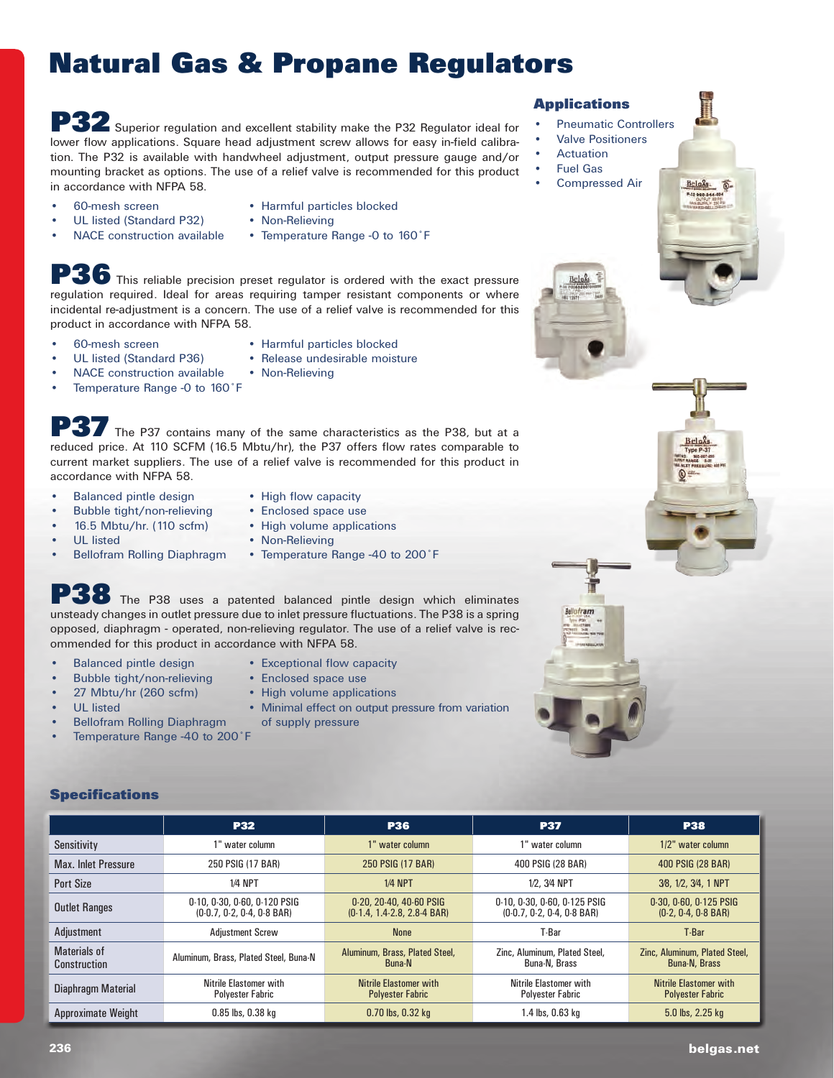# **Natural Gas & Propane Regulators**

**P32** Superior regulation and excellent stability make the P32 Regulator ideal for lower flow applications. Square head adjustment screw allows for easy in-field calibration. The P32 is available with handwheel adjustment, output pressure gauge and/or mounting bracket as options. The use of a relief valve is recommended for this product in accordance with NFPA 58.

- 
- 60-mesh screen Harmful particles blocked
	- UL listed (Standard P32) Non-Relieving
- 
- 
- 
- NACE construction available Temperature Range -0 to 160°F

**P36** This reliable precision preset regulator is ordered with the exact pressure regulation required. Ideal for areas requiring tamper resistant components or where incidental re-adjustment is a concern. The use of a relief valve is recommended for this product in accordance with NFPA 58.

- 60-mesh screen Harmful particles blocked
- UL listed (Standard P36) Release undesirable moisture
- NACE construction available Non-Relieving
- Temperature Range -0 to 160°F

**B7** The P37 contains many of the same characteristics as the P38, but at a reduced price. At 110 SCFM (16.5 Mbtu/hr), the P37 offers flow rates comparable to current market suppliers. The use of a relief valve is recommended for this product in accordance with NFPA 58.

- **Balanced pintle design** High flow capacity
	-
- Bubble tight/non-relieving Enclosed space use
- 
- -
- 
- 16.5 Mbtu/hr. (110 scfm) High volume applications
- **UL listed Non-Relieving**
- Bellofram Rolling Diaphragm Temperature Range -40 to 200°F

**B38** The P38 uses a patented balanced pintle design which eliminates unsteady changes in outlet pressure due to inlet pressure fluctuations. The P38 is a spring opposed, diaphragm - operated, non-relieving regulator. The use of a relief valve is recommended for this product in accordance with NFPA 58.

- 
- Bubble tight/non-relieving Enclosed space use
- 
- 
- Bellofram Rolling Diaphragm of supply pressure
- Temperature Range -40 to 200°F
- **Balanced pintle design Exceptional flow capacity** 
	-
- 27 Mbtu/hr (260 scfm) High volume applications
- UL listed Minimal effect on output pressure from variation

## **Specifications**

|                                            | <b>P32</b>                                                   | <b>P36</b>                                             | <b>P37</b>                                                   | <b>P38</b>                                        |
|--------------------------------------------|--------------------------------------------------------------|--------------------------------------------------------|--------------------------------------------------------------|---------------------------------------------------|
| <b>Sensitivity</b>                         | 1" water column                                              | 1" water column                                        | 1" water column                                              | 1/2" water column                                 |
| Max. Inlet Pressure                        | 250 PSIG (17 BAR)                                            | 250 PSIG (17 BAR)                                      | 400 PSIG (28 BAR)                                            | 400 PSIG (28 BAR)                                 |
| <b>Port Size</b>                           | <b>1/4 NPT</b>                                               | <b>1/4 NPT</b>                                         | 1/2, 3/4 NPT                                                 | 3/8, 1/2, 3/4, 1 NPT                              |
| <b>Outlet Ranges</b>                       | 0-10, 0-30, 0-60, 0-120 PSIG<br>$(0.0.7, 0.2, 0.4, 0.8$ BAR) | 0-20, 20-40, 40-60 PSIG<br>$(0.1.4.1.4.2.8.2.8.4$ BAR) | 0-10, 0-30, 0-60, 0-125 PSIG<br>$(0.0.7, 0.2, 0.4, 0.8$ BAR) | 0-30, 0-60, 0-125 PSIG<br>$(0.2, 0.4, 0.8$ BAR)   |
| Adjustment                                 | <b>Adjustment Screw</b>                                      | <b>None</b>                                            | T-Bar                                                        | T-Bar                                             |
| <b>Materials of</b><br><b>Construction</b> | Aluminum, Brass, Plated Steel, Buna-N                        | Aluminum, Brass, Plated Steel,<br>Buna-N               | Zinc. Aluminum. Plated Steel.<br>Buna-N. Brass               | Zinc. Aluminum. Plated Steel.<br>Buna-N. Brass    |
| Diaphragm Material                         | Nitrile Elastomer with<br><b>Polyester Fabric</b>            | Nitrile Elastomer with<br><b>Polyester Fabric</b>      | Nitrile Elastomer with<br><b>Polyester Fabric</b>            | Nitrile Elastomer with<br><b>Polyester Fabric</b> |
| Approximate Weight                         | 0.85 lbs, 0.38 kg                                            | 0.70 lbs. 0.32 kg                                      | 1.4 lbs. 0.63 kg                                             | 5.0 lbs. 2.25 kg                                  |

## **Applications**

- **Pneumatic Controllers**
- **Valve Positioners**
- **Actuation Fuel Gas**
- Compressed Air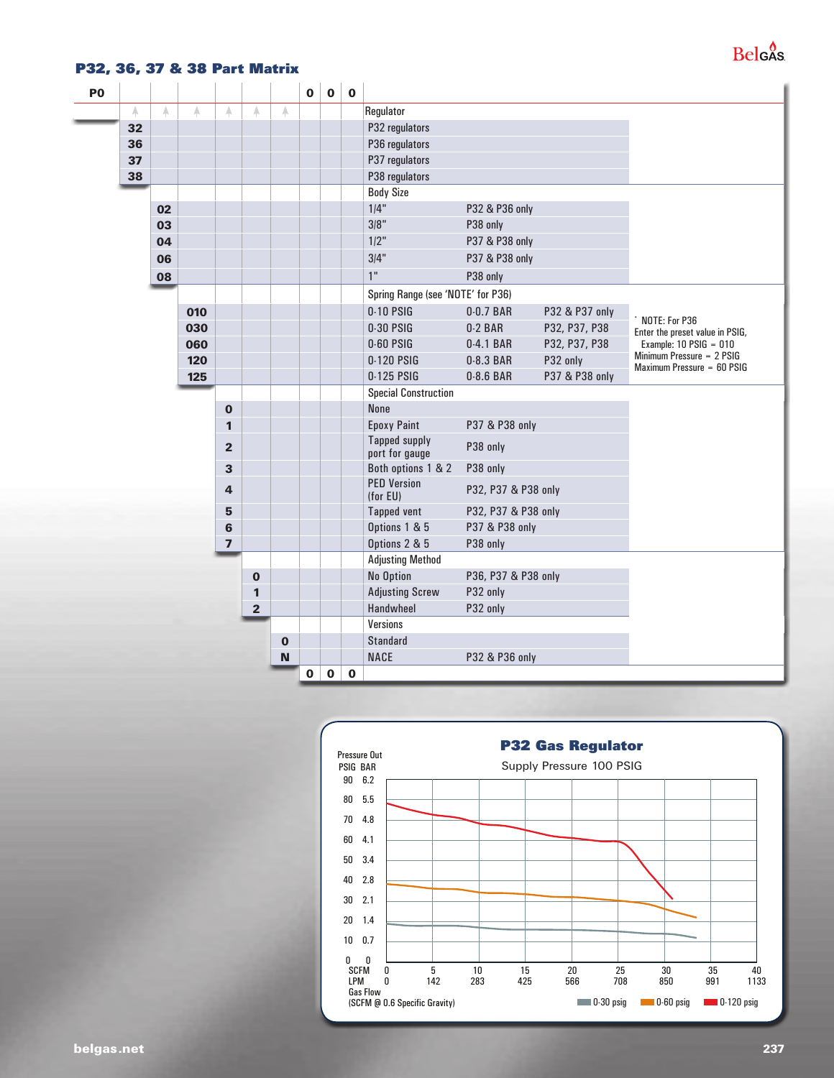## **P32, 36, 37 & 38 Part Matrix**

| P <sub>0</sub> |                                   |    |     |                         |                |                | $\mathbf 0$ | $\mathbf 0$ | $\mathbf 0$ |                                        |                     |                |                                                         |
|----------------|-----------------------------------|----|-----|-------------------------|----------------|----------------|-------------|-------------|-------------|----------------------------------------|---------------------|----------------|---------------------------------------------------------|
|                | A                                 | А  | A   | A                       | A              | A              |             |             |             | Regulator                              |                     |                |                                                         |
|                | 32                                |    |     |                         |                |                |             |             |             | P32 regulators                         |                     |                |                                                         |
|                | 36                                |    |     |                         |                |                |             |             |             | P36 regulators                         |                     |                |                                                         |
|                | 37                                |    |     |                         |                |                |             |             |             | P37 regulators                         |                     |                |                                                         |
|                | 38                                |    |     |                         |                |                |             |             |             | P38 regulators                         |                     |                |                                                         |
|                |                                   |    |     |                         |                |                |             |             |             | <b>Body Size</b>                       |                     |                |                                                         |
|                |                                   | 02 |     |                         |                |                |             |             |             | 1/4"                                   | P32 & P36 only      |                |                                                         |
|                |                                   | 03 |     |                         |                |                |             |             |             | 3/8"                                   | P38 only            |                |                                                         |
|                |                                   | 04 |     |                         |                |                |             |             |             | 1/2"                                   | P37 & P38 only      |                |                                                         |
|                |                                   | 06 |     |                         |                |                |             |             |             | 3/4"                                   | P37 & P38 only      |                |                                                         |
|                |                                   | 08 |     |                         |                |                |             |             |             | 1"                                     | P38 only            |                |                                                         |
|                | Spring Range (see 'NOTE' for P36) |    |     |                         |                |                |             |             |             |                                        |                     |                |                                                         |
|                |                                   |    | 010 |                         |                |                |             |             |             | 0-10 PSIG                              | 0-0.7 BAR           | P32 & P37 only |                                                         |
|                |                                   |    | 030 |                         |                |                |             |             |             | 0-30 PSIG                              | $0-2$ BAR           | P32, P37, P38  | NOTE: For P36<br>Enter the preset value in PSIG,        |
|                |                                   |    | 060 |                         |                |                |             |             |             | 0-60 PSIG                              | 0-4.1 BAR           | P32, P37, P38  | Example: $10$ PSIG = $010$                              |
|                |                                   |    | 120 |                         |                |                |             |             |             | 0-120 PSIG                             | 0-8.3 BAR           | P32 only       | Minimum Pressure = 2 PSIG<br>Maximum Pressure = 60 PSIG |
|                |                                   |    | 125 |                         |                |                |             |             |             | 0-125 PSIG                             | 0-8.6 BAR           | P37 & P38 only |                                                         |
|                |                                   |    |     |                         |                |                |             |             |             | <b>Special Construction</b>            |                     |                |                                                         |
|                |                                   |    |     | $\mathbf 0$             |                |                |             |             |             | None                                   |                     |                |                                                         |
|                |                                   |    |     | $\mathbf{1}$            |                |                |             |             |             | <b>Epoxy Paint</b>                     | P37 & P38 only      |                |                                                         |
|                |                                   |    |     | $\overline{2}$          |                |                |             |             |             | <b>Tapped supply</b><br>port for gauge | P38 only            |                |                                                         |
|                |                                   |    |     | $\overline{\mathbf{3}}$ |                |                |             |             |             | Both options 1 & 2                     | P38 only            |                |                                                         |
|                |                                   |    |     | $\overline{\mathbf{4}}$ |                |                |             |             |             | <b>PED Version</b><br>(for EU)         | P32, P37 & P38 only |                |                                                         |
|                |                                   |    |     | 5                       |                |                |             |             |             | <b>Tapped vent</b>                     | P32, P37 & P38 only |                |                                                         |
|                |                                   |    |     | $6\phantom{1}$          |                |                |             |             |             | Options 1 & 5                          | P37 & P38 only      |                |                                                         |
|                |                                   |    |     | $\overline{7}$          |                |                |             |             |             | Options 2 & 5                          | P38 only            |                |                                                         |
|                |                                   |    |     |                         |                |                |             |             |             | <b>Adjusting Method</b>                |                     |                |                                                         |
|                |                                   |    |     |                         | $\mathbf{0}$   |                |             |             |             | No Option                              | P36, P37 & P38 only |                |                                                         |
|                |                                   |    |     |                         | $\mathbf{1}$   |                |             |             |             | <b>Adjusting Screw</b>                 | P32 only            |                |                                                         |
|                |                                   |    |     |                         | $\overline{2}$ |                |             |             |             | Handwheel                              | P32 only            |                |                                                         |
|                |                                   |    |     |                         |                |                |             |             |             | Versions                               |                     |                |                                                         |
|                |                                   |    |     |                         |                | $\mathbf 0$    |             |             |             | Standard                               |                     |                |                                                         |
|                |                                   |    |     |                         |                | $\hbox{\bf N}$ |             |             |             | <b>NACE</b>                            | P32 & P36 only      |                |                                                         |
|                |                                   |    |     |                         |                |                | $\mathbf 0$ | $\mathbf 0$ | $\mathbf 0$ |                                        |                     |                |                                                         |



 $Bels<sup>0</sup>$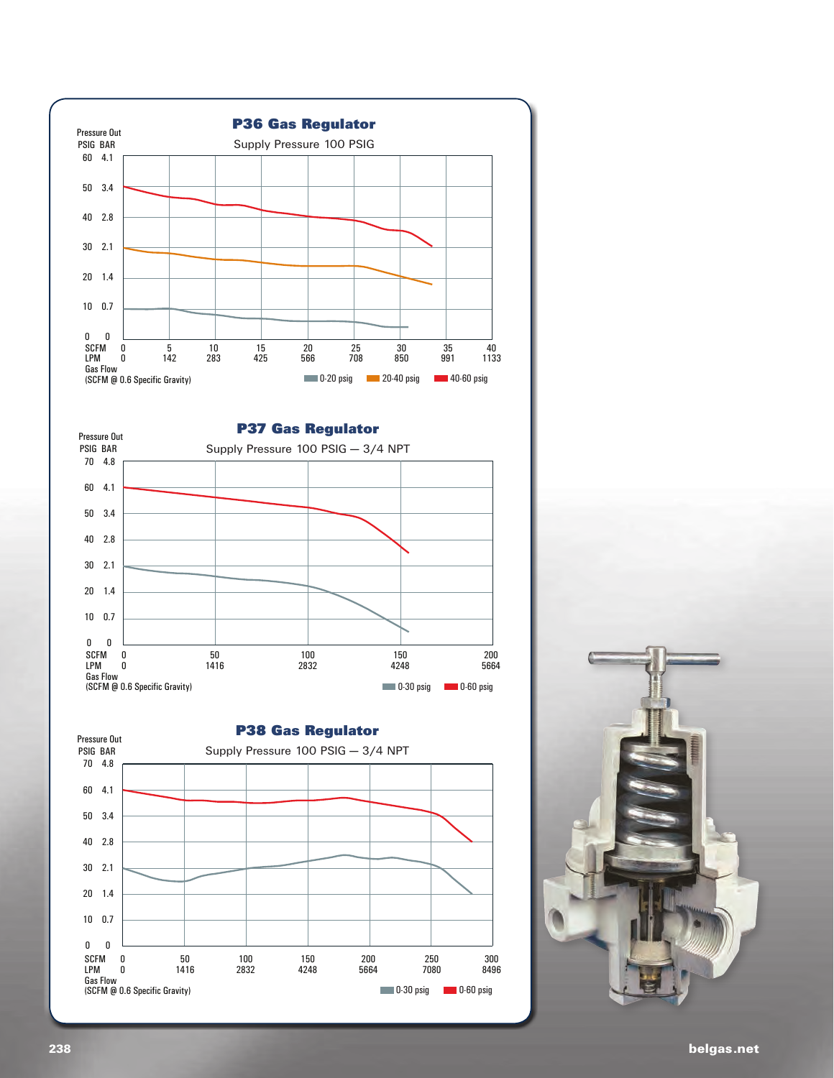

SCFM 0 50 100 150 200 250 300 LPM 0 1416 2832 4248 5664 7080 8496

**1200 0-30 psig 1200 0-60 psig** 



40 2.8

Gas Flow (SCFM @ 0.6 Specific Gravity)